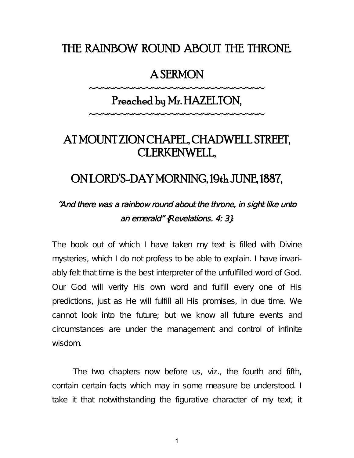## THE RAINBOW ROUND ABOUT THE THRONE.

### A SERMON

### Preached by Mr. HAZELTON,

~~~~~~~~~~~~~~~~~~~~~~~~~~~

~~~~~~~~~~~~~~~~~~~~~~~~~~~~

# AT MOUNT ZION CHAPEL, CHADWELL STREET, CLERKENWELL,

# ON LORD'S-DAY MORNING, 19th JUNE, 1887,

#### "And there was <sup>a</sup> rainbow round about the throne, in sight like unto an emerald" {Revelations. 4: 3}.

The book out of which I have taken my text is filled with Divine mysteries, which I do not profess to be able to explain. I have invariably felt that time is the best interpreter of the unfulfilled word of God. Our God will verify His own word and fulfill every one of His predictions, just as He will fulfill all His promises, in due time. We cannot look into the future; but we know all future events and circumstances are under the management and control of infinite wisdom.

The two chapters now before us, viz., the fourth and fifth, contain certain facts which may in some measure be understood. I take it that notwithstanding the figurative character of my text, it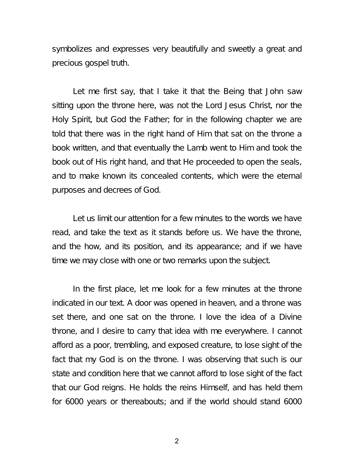symbolizes and expresses very beautifully and sweetly a great and precious gospel truth.

Let me first say, that I take it that the Being that John saw sitting upon the throne here, was not the Lord Jesus Christ, nor the Holy Spirit, but God the Father; for in the following chapter we are told that there was in the right hand of Him that sat on the throne a book written, and that eventually the Lamb went to Him and took the book out of His right hand, and that He proceeded to open the seals, and to make known its concealed contents, which were the eternal purposes and decrees of God.

Let us limit our attention for a few minutes to the words we have read, and take the text as it stands before us. We have the throne, and the how, and its position, and its appearance; and if we have time we may close with one or two remarks upon the subject.

In the first place, let me look for a few minutes at the throne indicated in our text. A door was opened in heaven, and a throne was set there, and one sat on the throne. I love the idea of a Divine throne, and I desire to carry that idea with me everywhere. I cannot afford as a poor, trembling, and exposed creature, to lose sight of the fact that my God is on the throne. I was observing that such is our state and condition here that we cannot afford to lose sight of the fact that our God reigns. He holds the reins Himself, and has held them for 6000 years or thereabouts; and if the world should stand 6000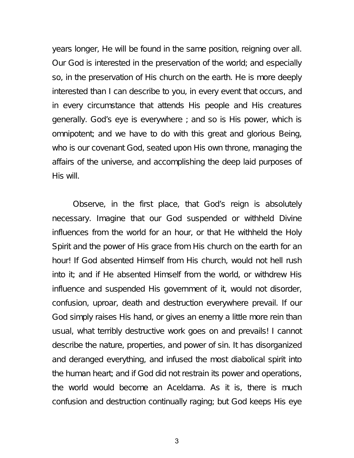years longer, He will be found in the same position, reigning over all. Our God is interested in the preservation of the world; and especially so, in the preservation of His church on the earth. He is more deeply interested than I can describe to you, in every event that occurs, and in every circumstance that attends His people and His creatures generally. God's eye is everywhere ; and so is His power, which is omnipotent; and we have to do with this great and glorious Being, who is our covenant God, seated upon His own throne, managing the affairs of the universe, and accomplishing the deep laid purposes of His will.

Observe, in the first place, that God's reign is absolutely necessary. Imagine that our God suspended or withheld Divine influences from the world for an hour, or that He withheld the Holy Spirit and the power of His grace from His church on the earth for an hour! If God absented Himself from His church, would not hell rush into it; and if He absented Himself from the world, or withdrew His influence and suspended His government of it, would not disorder, confusion, uproar, death and destruction everywhere prevail. If our God simply raises His hand, or gives an enemy a little more rein than usual, what terribly destructive work goes on and prevails! I cannot describe the nature, properties, and power of sin. It has disorganized and deranged everything, and infused the most diabolical spirit into the human heart; and if God did not restrain its power and operations, the world would become an Aceldama. As it is, there is much confusion and destruction continually raging; but God keeps His eye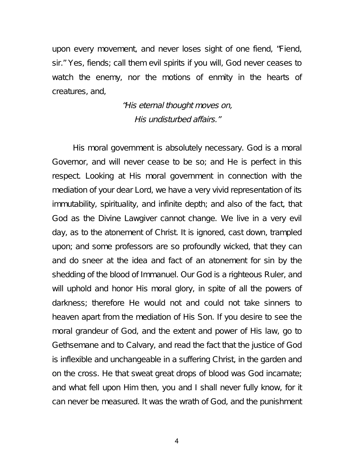upon every movement, and never loses sight of one fiend, "Fiend, sir." Yes, fiends; call them evil spirits if you will, God never ceases to watch the enemy, nor the motions of enmity in the hearts of creatures, and,

#### "His eternal thought moves on, His undisturbed affairs."

His moral government is absolutely necessary. God is a moral Governor, and will never cease to be so; and He is perfect in this respect. Looking at His moral government in connection with the mediation of your dear Lord, we have a very vivid representation of its immutability, spirituality, and infinite depth; and also of the fact, that God as the Divine Lawgiver cannot change. We live in a very evil day, as to the atonement of Christ. It is ignored, cast down, trampled upon; and some professors are so profoundly wicked, that they can and do sneer at the idea and fact of an atonement for sin by the shedding of the blood of Immanuel. Our God is a righteous Ruler, and will uphold and honor His moral glory, in spite of all the powers of darkness; therefore He would not and could not take sinners to heaven apart from the mediation of His Son. If you desire to see the moral grandeur of God, and the extent and power of His law, go to Gethsemane and to Calvary, and read the fact that the justice of God is inflexible and unchangeable in a suffering Christ, in the garden and on the cross. He that sweat great drops of blood was God incarnate; and what fell upon Him then, you and I shall never fully know, for it can never be measured. It was the wrath of God, and the punishment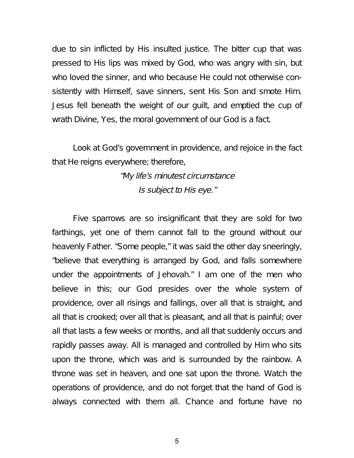due to sin inflicted by His insulted justice. The bitter cup that was pressed to His lips was mixed by God, who was angry with sin, but who loved the sinner, and who because He could not otherwise consistently with Himself, save sinners, sent His Son and smote Him. Jesus fell beneath the weight of our guilt, and emptied the cup of wrath Divine, Yes, the moral government of our God is a fact.

Look at God's government in providence, and rejoice in the fact that He reigns everywhere; therefore,

#### "My life's minutest circumstance Is subject to His eye."

Five sparrows are so insignificant that they are sold for two farthings, yet one of them cannot fall to the ground without our heavenly Father. "Some people," it was said the other day sneeringly, "believe that everything is arranged by God, and falls somewhere under the appointments of Jehovah." I am one of the men who believe in this; our God presides over the whole system of providence, over all risings and fallings, over all that is straight, and all that is crooked; over all that is pleasant, and all that is painful; over all that lasts a few weeks or months, and all that suddenly occurs and rapidly passes away. All is managed and controlled by Him who sits upon the throne, which was and is surrounded by the rainbow. A throne was set in heaven, and one sat upon the throne. Watch the operations of providence, and do not forget that the hand of God is always connected with them all. Chance and fortune have no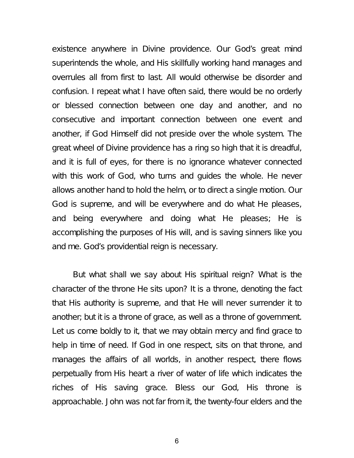existence anywhere in Divine providence. Our God's great mind superintends the whole, and His skillfully working hand manages and overrules all from first to last. All would otherwise be disorder and confusion. I repeat what I have often said, there would be no orderly or blessed connection between one day and another, and no consecutive and important connection between one event and another, if God Himself did not preside over the whole system. The great wheel of Divine providence has a ring so high that it is dreadful, and it is full of eyes, for there is no ignorance whatever connected with this work of God, who turns and guides the whole. He never allows another hand to hold the helm, or to direct a single motion. Our God is supreme, and will be everywhere and do what He pleases, and being everywhere and doing what He pleases; He is accomplishing the purposes of His will, and is saving sinners like you and me. God's providential reign is necessary.

But what shall we say about His spiritual reign? What is the character of the throne He sits upon? It is a throne, denoting the fact that His authority is supreme, and that He will never surrender it to another; but it is a throne of grace, as well as a throne of government. Let us come boldly to it, that we may obtain mercy and find grace to help in time of need. If God in one respect, sits on that throne, and manages the affairs of all worlds, in another respect, there flows perpetually from His heart a river of water of life which indicates the riches of His saving grace. Bless our God, His throne is approachable. John was not far from it, the twenty-four elders and the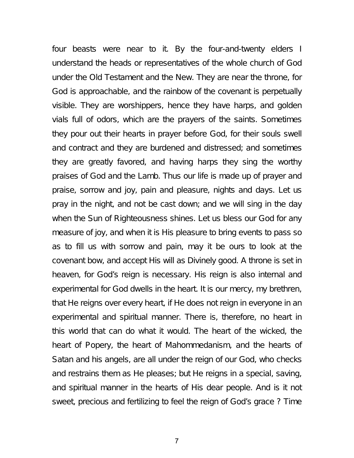four beasts were near to it. By the four-and-twenty elders I understand the heads or representatives of the whole church of God under the Old Testament and the New. They are near the throne, for God is approachable, and the rainbow of the covenant is perpetually visible. They are worshippers, hence they have harps, and golden vials full of odors, which are the prayers of the saints. Sometimes they pour out their hearts in prayer before God, for their souls swell and contract and they are burdened and distressed; and sometimes they are greatly favored, and having harps they sing the worthy praises of God and the Lamb. Thus our life is made up of prayer and praise, sorrow and joy, pain and pleasure, nights and days. Let us pray in the night, and not be cast down; and we will sing in the day when the Sun of Righteousness shines. Let us bless our God for any measure of joy, and when it is His pleasure to bring events to pass so as to fill us with sorrow and pain, may it be ours to look at the covenant bow, and accept His will as Divinely good. A throne is set in heaven, for God's reign is necessary. His reign is also internal and experimental for God dwells in the heart. It is our mercy, my brethren, that He reigns over every heart, if He does not reign in everyone in an experimental and spiritual manner. There is, therefore, no heart in this world that can do what it would. The heart of the wicked, the heart of Popery, the heart of Mahommedanism, and the hearts of Satan and his angels, are all under the reign of our God, who checks and restrains them as He pleases; but He reigns in a special, saving, and spiritual manner in the hearts of His dear people. And is it not sweet, precious and fertilizing to feel the reign of God's grace ? Time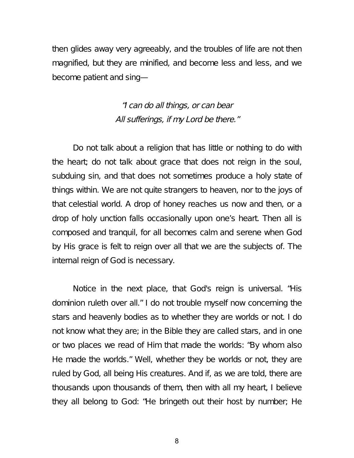then glides away very agreeably, and the troubles of life are not then magnified, but they are minified, and become less and less, and we become patient and sing—

#### "I can do all things, or can bear All sufferings, if my Lord be there."

Do not talk about a religion that has little or nothing to do with the heart; do not talk about grace that does not reign in the soul, subduing sin, and that does not sometimes produce a holy state of things within. We are not quite strangers to heaven, nor to the joys of that celestial world. A drop of honey reaches us now and then, or a drop of holy unction falls occasionally upon one's heart. Then all is composed and tranquil, for all becomes calm and serene when God by His grace is felt to reign over all that we are the subjects of. The internal reign of God is necessary.

Notice in the next place, that God's reign is universal. "His dominion ruleth over all." I do not trouble myself now concerning the stars and heavenly bodies as to whether they are worlds or not. I do not know what they are; in the Bible they are called stars, and in one or two places we read of Him that made the worlds: "By whom also He made the worlds." Well, whether they be worlds or not, they are ruled by God, all being His creatures. And if, as we are told, there are thousands upon thousands of them, then with all my heart, I believe they all belong to God: "He bringeth out their host by number; He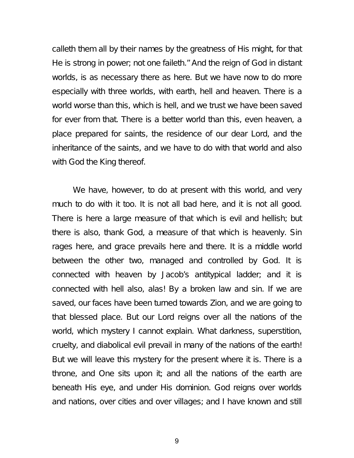calleth them all by their names by the greatness of His might, for that He is strong in power; not one faileth." And the reign of God in distant worlds, is as necessary there as here. But we have now to do more especially with three worlds, with earth, hell and heaven. There is a world worse than this, which is hell, and we trust we have been saved for ever from that. There is a better world than this, even heaven, a place prepared for saints, the residence of our dear Lord, and the inheritance of the saints, and we have to do with that world and also with God the King thereof.

We have, however, to do at present with this world, and very much to do with it too. It is not all bad here, and it is not all good. There is here a large measure of that which is evil and hellish; but there is also, thank God, a measure of that which is heavenly. Sin rages here, and grace prevails here and there. It is a middle world between the other two, managed and controlled by God. It is connected with heaven by Jacob's antitypical ladder; and it is connected with hell also, alas! By a broken law and sin. If we are saved, our faces have been turned towards Zion, and we are going to that blessed place. But our Lord reigns over all the nations of the world, which mystery I cannot explain. What darkness, superstition, cruelty, and diabolical evil prevail in many of the nations of the earth! But we will leave this mystery for the present where it is. There is a throne, and One sits upon it; and all the nations of the earth are beneath His eye, and under His dominion. God reigns over worlds and nations, over cities and over villages; and I have known and still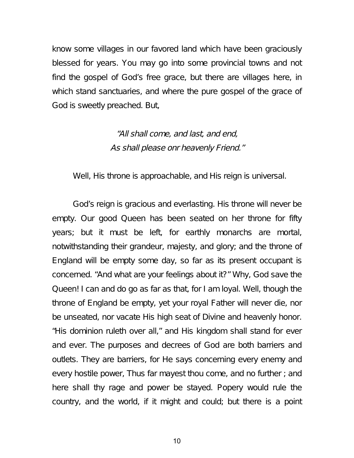know some villages in our favored land which have been graciously blessed for years. You may go into some provincial towns and not find the gospel of God's free grace, but there are villages here, in which stand sanctuaries, and where the pure gospel of the grace of God is sweetly preached. But,

### "All shall come, and last, and end, As shall please onr heavenly Friend."

Well, His throne is approachable, and His reign is universal.

God's reign is gracious and everlasting. His throne will never be empty. Our good Queen has been seated on her throne for fifty years; but it must be left, for earthly monarchs are mortal, notwithstanding their grandeur, majesty, and glory; and the throne of England will be empty some day, so far as its present occupant is concerned. "And what are your feelings about it?" Why, God save the Queen! I can and do go as far as that, for I am loyal. Well, though the throne of England be empty, yet your royal Father will never die, nor be unseated, nor vacate His high seat of Divine and heavenly honor. "His dominion ruleth over all," and His kingdom shall stand for ever and ever. The purposes and decrees of God are both barriers and outlets. They are barriers, for He says concerning every enemy and every hostile power, Thus far mayest thou come, and no further ; and here shall thy rage and power be stayed. Popery would rule the country, and the world, if it might and could; but there is a point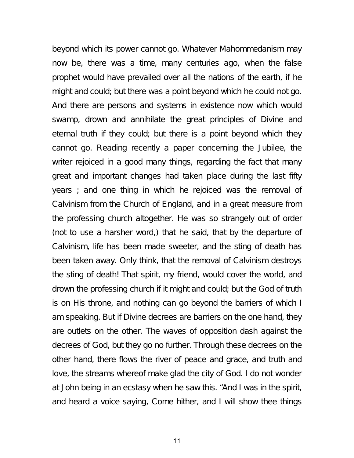beyond which its power cannot go. Whatever Mahommedanism may now be, there was a time, many centuries ago, when the false prophet would have prevailed over all the nations of the earth, if he might and could; but there was a point beyond which he could not go. And there are persons and systems in existence now which would swamp, drown and annihilate the great principles of Divine and eternal truth if they could; but there is a point beyond which they cannot go. Reading recently a paper concerning the Jubilee, the writer rejoiced in a good many things, regarding the fact that many great and important changes had taken place during the last fifty years ; and one thing in which he rejoiced was the removal of Calvinism from the Church of England, and in a great measure from the professing church altogether. He was so strangely out of order (not to use a harsher word,) that he said, that by the departure of Calvinism, life has been made sweeter, and the sting of death has been taken away. Only think, that the removal of Calvinism destroys the sting of death! That spirit, my friend, would cover the world, and drown the professing church if it might and could; but the God of truth is on His throne, and nothing can go beyond the barriers of which I am speaking. But if Divine decrees are barriers on the one hand, they are outlets on the other. The waves of opposition dash against the decrees of God, but they go no further. Through these decrees on the other hand, there flows the river of peace and grace, and truth and love, the streams whereof make glad the city of God. I do not wonder at John being in an ecstasy when he saw this. "And I was in the spirit, and heard a voice saying, Come hither, and I will show thee things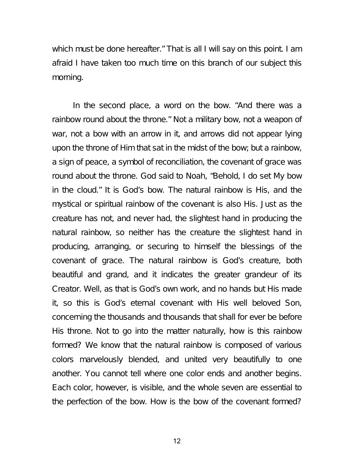which must be done hereafter." That is all I will say on this point. I am afraid I have taken too much time on this branch of our subject this morning.

In the second place, a word on the bow. "And there was a rainbow round about the throne." Not a military bow, not a weapon of war, not a bow with an arrow in it, and arrows did not appear lying upon the throne of Him that sat in the midst of the bow; but a rainbow, a sign of peace, a symbol of reconciliation, the covenant of grace was round about the throne. God said to Noah, "Behold, I do set My bow in the cloud." It is God's bow. The natural rainbow is His, and the mystical or spiritual rainbow of the covenant is also His. Just as the creature has not, and never had, the slightest hand in producing the natural rainbow, so neither has the creature the slightest hand in producing, arranging, or securing to himself the blessings of the covenant of grace. The natural rainbow is God's creature, both beautiful and grand, and it indicates the greater grandeur of its Creator. Well, as that is God's own work, and no hands but His made it, so this is God's eternal covenant with His well beloved Son, concerning the thousands and thousands that shall for ever be before His throne. Not to go into the matter naturally, how is this rainbow formed? We know that the natural rainbow is composed of various colors marvelously blended, and united very beautifully to one another. You cannot tell where one color ends and another begins. Each color, however, is visible, and the whole seven are essential to the perfection of the bow. How is the bow of the covenant formed?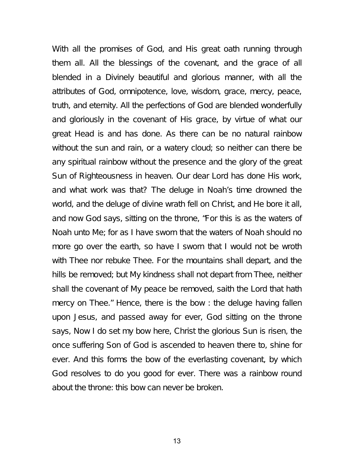With all the promises of God, and His great oath running through them all. All the blessings of the covenant, and the grace of all blended in a Divinely beautiful and glorious manner, with all the attributes of God, omnipotence, love, wisdom, grace, mercy, peace, truth, and eternity. All the perfections of God are blended wonderfully and gloriously in the covenant of His grace, by virtue of what our great Head is and has done. As there can be no natural rainbow without the sun and rain, or a watery cloud; so neither can there be any spiritual rainbow without the presence and the glory of the great Sun of Righteousness in heaven. Our dear Lord has done His work, and what work was that? The deluge in Noah's time drowned the world, and the deluge of divine wrath fell on Christ, and He bore it all, and now God says, sitting on the throne, "For this is as the waters of Noah unto Me; for as I have sworn that the waters of Noah should no more go over the earth, so have I sworn that I would not be wroth with Thee nor rebuke Thee. For the mountains shall depart, and the hills be removed; but My kindness shall not depart from Thee, neither shall the covenant of My peace be removed, saith the Lord that hath mercy on Thee." Hence, there is the bow : the deluge having fallen upon Jesus, and passed away for ever, God sitting on the throne says, Now I do set my bow here, Christ the glorious Sun is risen, the once suffering Son of God is ascended to heaven there to, shine for ever. And this forms the bow of the everlasting covenant, by which God resolves to do you good for ever. There was a rainbow round about the throne: this bow can never be broken.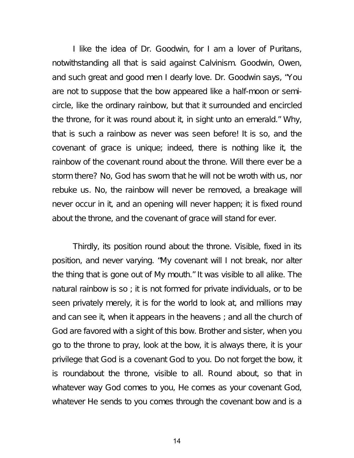I like the idea of Dr. Goodwin, for I am a lover of Puritans, notwithstanding all that is said against Calvinism. Goodwin, Owen, and such great and good men I dearly love. Dr. Goodwin says, "You are not to suppose that the bow appeared like a half-moon or semicircle, like the ordinary rainbow, but that it surrounded and encircled the throne, for it was round about it, in sight unto an emerald." Why, that is such a rainbow as never was seen before! It is so, and the covenant of grace is unique; indeed, there is nothing like it, the rainbow of the covenant round about the throne. Will there ever be a storm there? No, God has sworn that he will not be wroth with us, nor rebuke us. No, the rainbow will never be removed, a breakage will never occur in it, and an opening will never happen; it is fixed round about the throne, and the covenant of grace will stand for ever.

Thirdly, its position round about the throne. Visible, fixed in its position, and never varying. "My covenant will I not break, nor alter the thing that is gone out of My mouth." It was visible to all alike. The natural rainbow is so ; it is not formed for private individuals, or to be seen privately merely, it is for the world to look at, and millions may and can see it, when it appears in the heavens ; and all the church of God are favored with a sight of this bow. Brother and sister, when you go to the throne to pray, look at the bow, it is always there, it is your privilege that God is a covenant God to you. Do not forget the bow, it is roundabout the throne, visible to all. Round about, so that in whatever way God comes to you, He comes as your covenant God, whatever He sends to you comes through the covenant bow and is a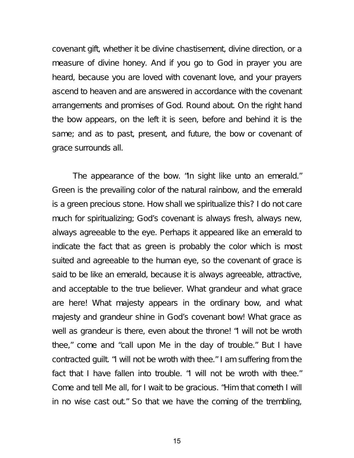covenant gift, whether it be divine chastisement, divine direction, or a measure of divine honey. And if you go to God in prayer you are heard, because you are loved with covenant love, and your prayers ascend to heaven and are answered in accordance with the covenant arrangements and promises of God. Round about. On the right hand the bow appears, on the left it is seen, before and behind it is the same; and as to past, present, and future, the bow or covenant of grace surrounds all.

The appearance of the bow. "In sight like unto an emerald." Green is the prevailing color of the natural rainbow, and the emerald is a green precious stone. How shall we spiritualize this? I do not care much for spiritualizing; God's covenant is always fresh, always new, always agreeable to the eye. Perhaps it appeared like an emerald to indicate the fact that as green is probably the color which is most suited and agreeable to the human eye, so the covenant of grace is said to be like an emerald, because it is always agreeable, attractive, and acceptable to the true believer. What grandeur and what grace are here! What majesty appears in the ordinary bow, and what majesty and grandeur shine in God's covenant bow! What grace as well as grandeur is there, even about the throne! "I will not be wroth thee," come and "call upon Me in the day of trouble." But I have contracted guilt. "I will not be wroth with thee." I am suffering from the fact that I have fallen into trouble. "I will not be wroth with thee." Come and tell Me all, for I wait to be gracious. "Him that cometh I will in no wise cast out." So that we have the coming of the trembling,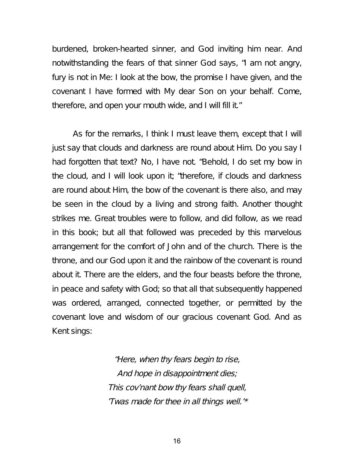burdened, broken-hearted sinner, and God inviting him near. And notwithstanding the fears of that sinner God says, "I am not angry, fury is not in Me: I look at the bow, the promise I have given, and the covenant I have formed with My dear Son on your behalf. Come, therefore, and open your mouth wide, and I will fill it."

As for the remarks, I think I must leave them, except that I will just say that clouds and darkness are round about Him. Do you say I had forgotten that text? No, I have not. "Behold, I do set my bow in the cloud, and I will look upon it; "therefore, if clouds and darkness are round about Him, the bow of the covenant is there also, and may be seen in the cloud by a living and strong faith. Another thought strikes me. Great troubles were to follow, and did follow, as we read in this book; but all that followed was preceded by this marvelous arrangement for the comfort of John and of the church. There is the throne, and our God upon it and the rainbow of the covenant is round about it. There are the elders, and the four beasts before the throne, in peace and safety with God; so that all that subsequently happened was ordered, arranged, connected together, or permitted by the covenant love and wisdom of our gracious covenant God. And as Kent sings:

> "Here, when thy fears begin to rise, And hope in disappointment dies; This cov'nant bow thy fears shall quell, 'Twas made for thee in all things well.'\*